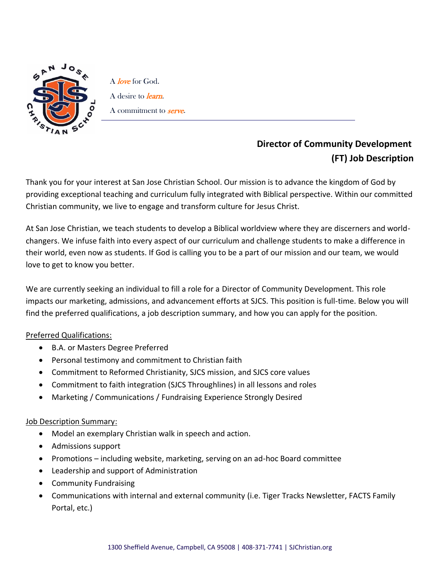

A *love* for God. A desire to *learn*. A commitment to **serve**.

## **Director of Community Development (FT) Job Description**

Thank you for your interest at San Jose Christian School. Our mission is to advance the kingdom of God by providing exceptional teaching and curriculum fully integrated with Biblical perspective. Within our committed Christian community, we live to engage and transform culture for Jesus Christ.

At San Jose Christian, we teach students to develop a Biblical worldview where they are discerners and worldchangers. We infuse faith into every aspect of our curriculum and challenge students to make a difference in their world, even now as students. If God is calling you to be a part of our mission and our team, we would love to get to know you better.

We are currently seeking an individual to fill a role for a Director of Community Development. This role impacts our marketing, admissions, and advancement efforts at SJCS. This position is full-time. Below you will find the preferred qualifications, a job description summary, and how you can apply for the position.

## Preferred Qualifications:

- B.A. or Masters Degree Preferred
- Personal testimony and commitment to Christian faith
- Commitment to Reformed Christianity, SJCS mission, and SJCS core values
- Commitment to faith integration (SJCS Throughlines) in all lessons and roles
- Marketing / Communications / Fundraising Experience Strongly Desired

## Job Description Summary:

- Model an exemplary Christian walk in speech and action.
- Admissions support
- Promotions including website, marketing, serving on an ad-hoc Board committee
- Leadership and support of Administration
- Community Fundraising
- Communications with internal and external community (i.e. Tiger Tracks Newsletter, FACTS Family Portal, etc.)